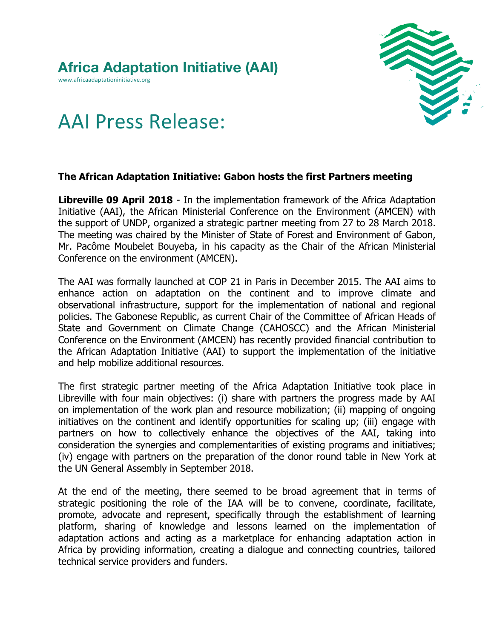www.africaadaptationinitiative.org



## AAI Press Release:

## **The African Adaptation Initiative: Gabon hosts the first Partners meeting**

**Libreville 09 April 2018** - In the implementation framework of the Africa Adaptation Initiative (AAI), the African Ministerial Conference on the Environment (AMCEN) with the support of UNDP, organized a strategic partner meeting from 27 to 28 March 2018. The meeting was chaired by the Minister of State of Forest and Environment of Gabon, Mr. Pacôme Moubelet Bouyeba, in his capacity as the Chair of the African Ministerial Conference on the environment (AMCEN).

The AAI was formally launched at COP 21 in Paris in December 2015. The AAI aims to enhance action on adaptation on the continent and to improve climate and observational infrastructure, support for the implementation of national and regional policies. The Gabonese Republic, as current Chair of the Committee of African Heads of State and Government on Climate Change (CAHOSCC) and the African Ministerial Conference on the Environment (AMCEN) has recently provided financial contribution to the African Adaptation Initiative (AAI) to support the implementation of the initiative and help mobilize additional resources.

The first strategic partner meeting of the Africa Adaptation Initiative took place in Libreville with four main objectives: (i) share with partners the progress made by AAI on implementation of the work plan and resource mobilization; (ii) mapping of ongoing initiatives on the continent and identify opportunities for scaling up; (iii) engage with partners on how to collectively enhance the objectives of the AAI, taking into consideration the synergies and complementarities of existing programs and initiatives; (iv) engage with partners on the preparation of the donor round table in New York at the UN General Assembly in September 2018.

At the end of the meeting, there seemed to be broad agreement that in terms of strategic positioning the role of the IAA will be to convene, coordinate, facilitate, promote, advocate and represent, specifically through the establishment of learning platform, sharing of knowledge and lessons learned on the implementation of adaptation actions and acting as a marketplace for enhancing adaptation action in Africa by providing information, creating a dialogue and connecting countries, tailored technical service providers and funders.